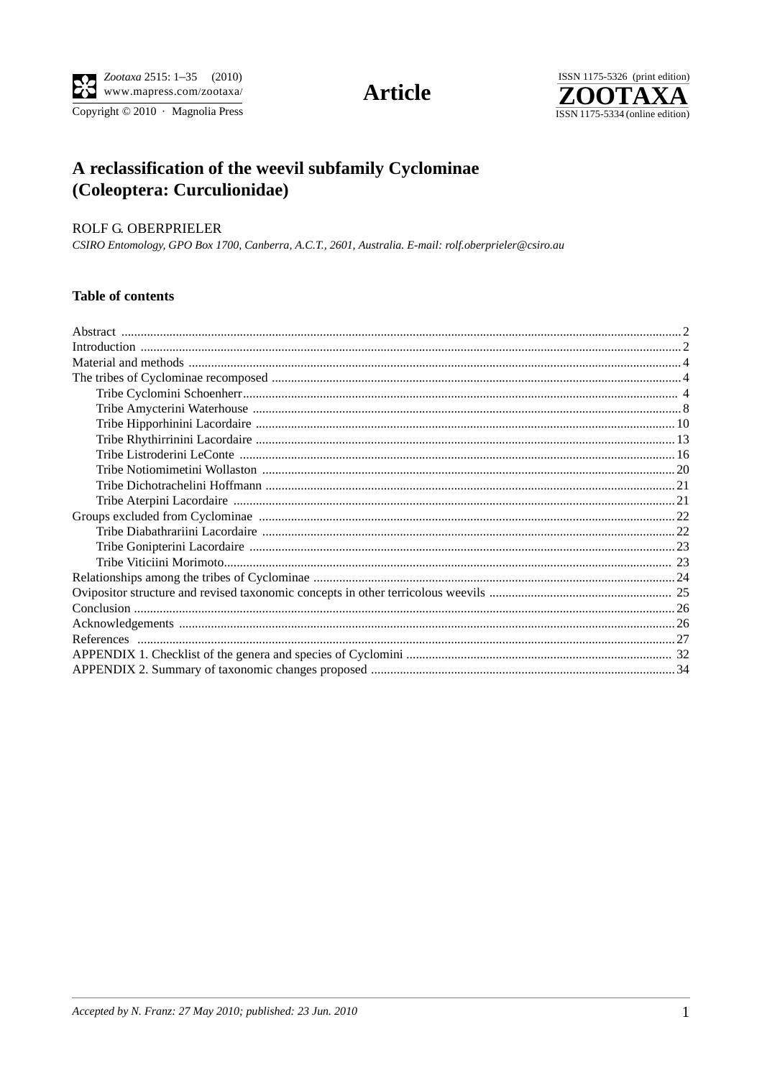

Copyright © 2010 · Magnolia Press

# **Article**



## A reclassification of the weevil subfamily Cyclominae (Coleoptera: Curculionidae)

## ROLF G. OBERPRIELER

CSIRO Entomology, GPO Box 1700, Canberra, A.C.T., 2601, Australia. E-mail: rolf.oberprieler@csiro.au

## Table of contents